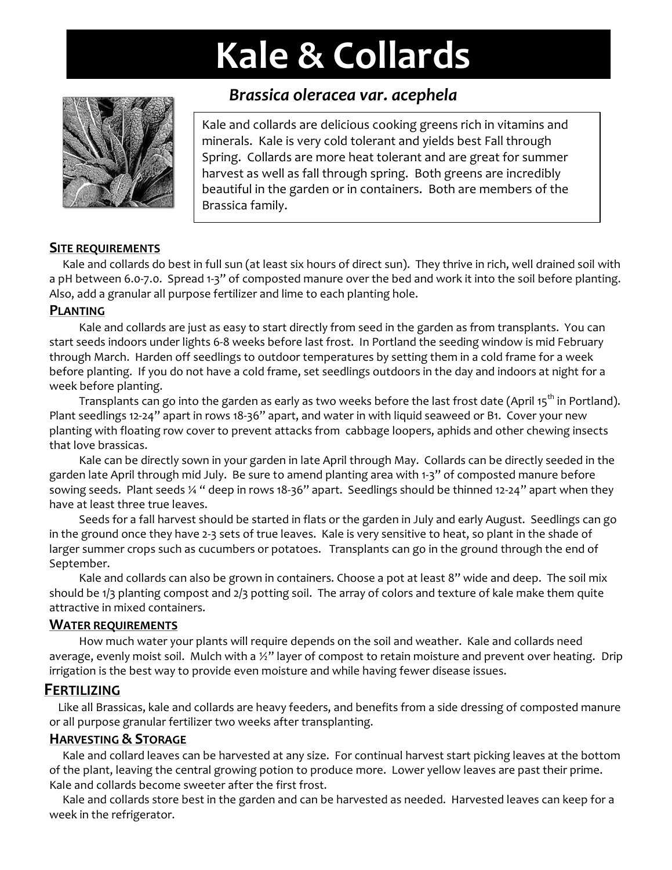# **Kale & Collards**



# *Brassica oleracea var. acephela*

Kale and collards are delicious cooking greens rich in vitamins and minerals. Kale is very cold tolerant and yields best Fall through Spring. Collards are more heat tolerant and are great for summer harvest as well as fall through spring. Both greens are incredibly beautiful in the garden or in containers. Both are members of the Brassica family.

#### **SITE REQUIREMENTS**

Kale and collards do best in full sun (at least six hours of direct sun). They thrive in rich, well drained soil with a pH between 6.0‐7.0. Spread 1‐3" of composted manure over the bed and work it into the soil before planting. Also, add a granular all purpose fertilizer and lime to each planting hole.

#### **PLANTING**

Kale and collards are just as easy to start directly from seed in the garden as from transplants. You can start seeds indoors under lights 6‐8 weeks before last frost. In Portland the seeding window is mid February through March. Harden off seedlings to outdoor temperatures by setting them in a cold frame for a week before planting. If you do not have a cold frame, set seedlings outdoors in the day and indoors at night for a week before planting.

Transplants can go into the garden as early as two weeks before the last frost date (April 15<sup>th</sup> in Portland). Plant seedlings 12-24" apart in rows 18-36" apart, and water in with liquid seaweed or B1. Cover your new planting with floating row cover to prevent attacks from cabbage loopers, aphids and other chewing insects that love brassicas.

Kale can be directly sown in your garden in late April through May. Collards can be directly seeded in the garden late April through mid July. Be sure to amend planting area with 1‐3" of composted manure before sowing seeds. Plant seeds ¼ " deep in rows 18-36" apart. Seedlings should be thinned 12-24" apart when they have at least three true leaves.

Seeds for a fall harvest should be started in flats or the garden in July and early August. Seedlings can go in the ground once they have 2‐3 sets of true leaves. Kale is very sensitive to heat, so plant in the shade of larger summer crops such as cucumbers or potatoes. Transplants can go in the ground through the end of September.

Kale and collards can also be grown in containers. Choose a pot at least 8" wide and deep. The soil mix should be 1/3 planting compost and 2/3 potting soil. The array of colors and texture of kale make them quite attractive in mixed containers.

#### **WATER REQUIREMENTS**

How much water your plants will require depends on the soil and weather. Kale and collards need average, evenly moist soil. Mulch with a  $\frac{1}{2}$ " layer of compost to retain moisture and prevent over heating. Drip irrigation is the best way to provide even moisture and while having fewer disease issues.

#### **FERTILIZING**

Like all Brassicas, kale and collards are heavy feeders, and benefits from a side dressing of composted manure or all purpose granular fertilizer two weeks after transplanting.

#### **HARVESTING & STORAGE**

Kale and collard leaves can be harvested at any size. For continual harvest start picking leaves at the bottom of the plant, leaving the central growing potion to produce more. Lower yellow leaves are past their prime. Kale and collards become sweeter after the first frost.

Kale and collards store best in the garden and can be harvested as needed. Harvested leaves can keep for a week in the refrigerator.